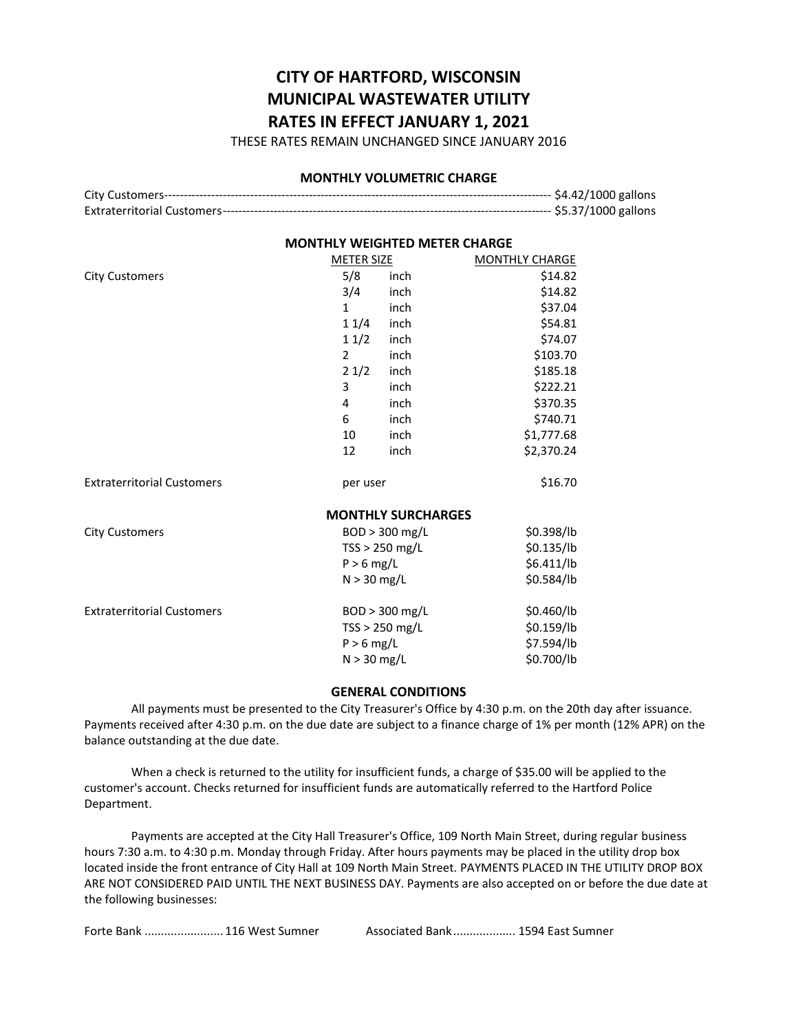# **CITY OF HARTFORD, WISCONSIN MUNICIPAL WASTEWATER UTILITY RATES IN EFFECT JANUARY 1, 2021**

THESE RATES REMAIN UNCHANGED SINCE JANUARY 2016

#### **MONTHLY VOLUMETRIC CHARGE**

| ------------- \$4.42/1000 gallons |
|-----------------------------------|
| ------------- \$5.37/1000 gallons |

### **MONTHLY WEIGHTED METER CHARGE**

|                                   | <b>METER SIZE</b> |                           | <b>MONTHLY CHARGE</b> |
|-----------------------------------|-------------------|---------------------------|-----------------------|
| <b>City Customers</b>             | 5/8               | inch                      | \$14.82               |
|                                   | 3/4               | inch                      | \$14.82               |
|                                   | $\mathbf{1}$      | inch                      | \$37.04               |
|                                   | 11/4              | inch                      | \$54.81               |
|                                   | 11/2              | inch                      | \$74.07               |
|                                   | $\overline{2}$    | inch                      | \$103.70              |
|                                   | 21/2              | inch                      | \$185.18              |
|                                   | 3                 | inch                      | \$222.21              |
|                                   | 4                 | inch                      | \$370.35              |
|                                   | 6                 | inch                      | \$740.71              |
|                                   | 10                | inch                      | \$1,777.68            |
|                                   | 12                | inch                      | \$2,370.24            |
| <b>Extraterritorial Customers</b> | per user          |                           | \$16.70               |
|                                   |                   | <b>MONTHLY SURCHARGES</b> |                       |
| <b>City Customers</b>             | BOD > 300 mg/L    |                           | \$0.398/lb            |
|                                   | $TSS > 250$ mg/L  |                           | \$0.135/lb            |
|                                   | $P > 6$ mg/L      |                           | \$6.411/lb            |
|                                   | $N > 30$ mg/L     |                           | \$0.584/lb            |
| <b>Extraterritorial Customers</b> |                   | BOD > 300 mg/L            | \$0.460/lb            |
|                                   | TSS > 250 mg/L    |                           | \$0.159/lb            |
|                                   | $P > 6$ mg/L      |                           | \$7.594/lb            |
|                                   | $N > 30$ mg/L     |                           | \$0.700/lb            |

#### **GENERAL CONDITIONS**

All payments must be presented to the City Treasurer's Office by 4:30 p.m. on the 20th day after issuance. Payments received after 4:30 p.m. on the due date are subject to a finance charge of 1% per month (12% APR) on the balance outstanding at the due date.

When a check is returned to the utility for insufficient funds, a charge of \$35.00 will be applied to the customer's account. Checks returned for insufficient funds are automatically referred to the Hartford Police Department.

Payments are accepted at the City Hall Treasurer's Office, 109 North Main Street, during regular business hours 7:30 a.m. to 4:30 p.m. Monday through Friday. After hours payments may be placed in the utility drop box located inside the front entrance of City Hall at 109 North Main Street. PAYMENTS PLACED IN THE UTILITY DROP BOX ARE NOT CONSIDERED PAID UNTIL THE NEXT BUSINESS DAY. Payments are also accepted on or before the due date at the following businesses:

|  | Forte Bank  116 West Sumner |
|--|-----------------------------|
|--|-----------------------------|

Associated Bank ..................... 1594 East Sumner